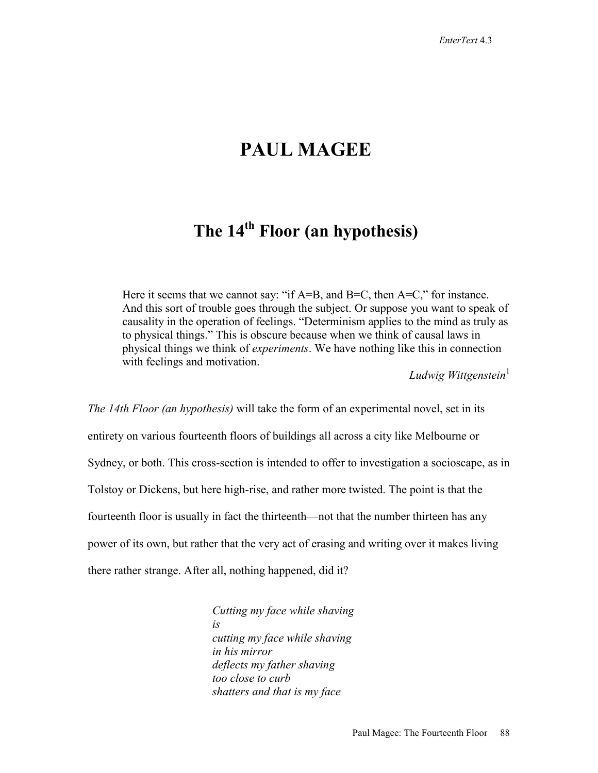# **PAUL MAGEE**

# **The 14th Floor (an hypothesis)**

Here it seems that we cannot say: "if  $A=$ B, and  $B=$ C, then  $A=$ C," for instance. And this sort of trouble goes through the subject. Or suppose you want to speak of causality in the operation of feelings. "Determinism applies to the mind as truly as to physical things." This is obscure because when we think of causal laws in physical things we think of *experiments*. We have nothing like this in connection with feelings and motivation.

*Ludwig Wittgenstein*<sup>1</sup>

*The 14th Floor (an hypothesis)* will take the form of an experimental novel, set in its entirety on various fourteenth floors of buildings all across a city like Melbourne or Sydney, or both. This cross-section is intended to offer to investigation a socioscape, as in Tolstoy or Dickens, but here high-rise, and rather more twisted. The point is that the fourteenth floor is usually in fact the thirteenth—not that the number thirteen has any power of its own, but rather that the very act of erasing and writing over it makes living there rather strange. After all, nothing happened, did it?

> *Cutting my face while shaving is cutting my face while shaving in his mirror deflects my father shaving too close to curb shatters and that is my face*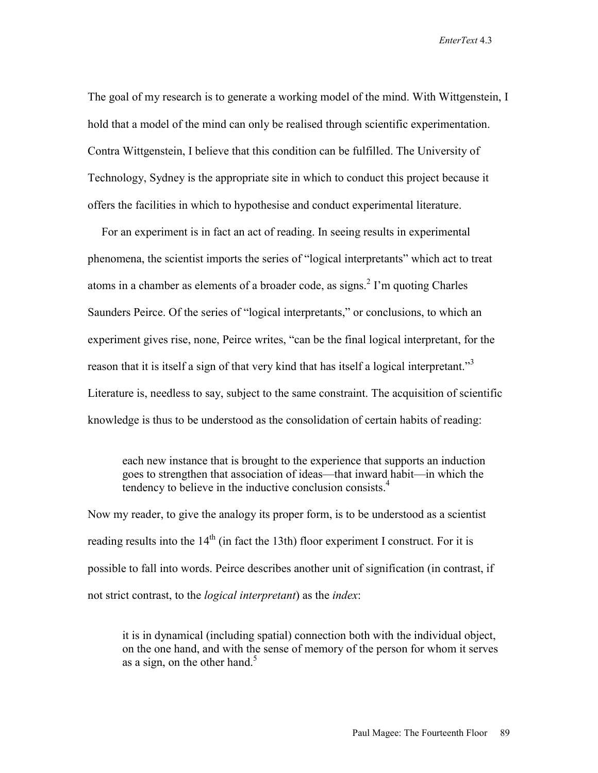*EnterText* 4.3

The goal of my research is to generate a working model of the mind. With Wittgenstein, I hold that a model of the mind can only be realised through scientific experimentation. Contra Wittgenstein, I believe that this condition can be fulfilled. The University of Technology, Sydney is the appropriate site in which to conduct this project because it offers the facilities in which to hypothesise and conduct experimental literature.

 For an experiment is in fact an act of reading. In seeing results in experimental phenomena, the scientist imports the series of "logical interpretants" which act to treat atoms in a chamber as elements of a broader code, as signs. $2 \text{ I'm}$  quoting Charles Saunders Peirce. Of the series of "logical interpretants," or conclusions, to which an experiment gives rise, none, Peirce writes, "can be the final logical interpretant, for the reason that it is itself a sign of that very kind that has itself a logical interpretant."<sup>3</sup> Literature is, needless to say, subject to the same constraint. The acquisition of scientific knowledge is thus to be understood as the consolidation of certain habits of reading:

 each new instance that is brought to the experience that supports an induction goes to strengthen that association of ideas—that inward habit—in which the tendency to believe in the inductive conclusion consists.<sup>4</sup>

Now my reader, to give the analogy its proper form, is to be understood as a scientist reading results into the  $14<sup>th</sup>$  (in fact the 13th) floor experiment I construct. For it is possible to fall into words. Peirce describes another unit of signification (in contrast, if not strict contrast, to the *logical interpretant*) as the *index*:

 it is in dynamical (including spatial) connection both with the individual object, on the one hand, and with the sense of memory of the person for whom it serves as a sign, on the other hand. $<sup>5</sup>$ </sup>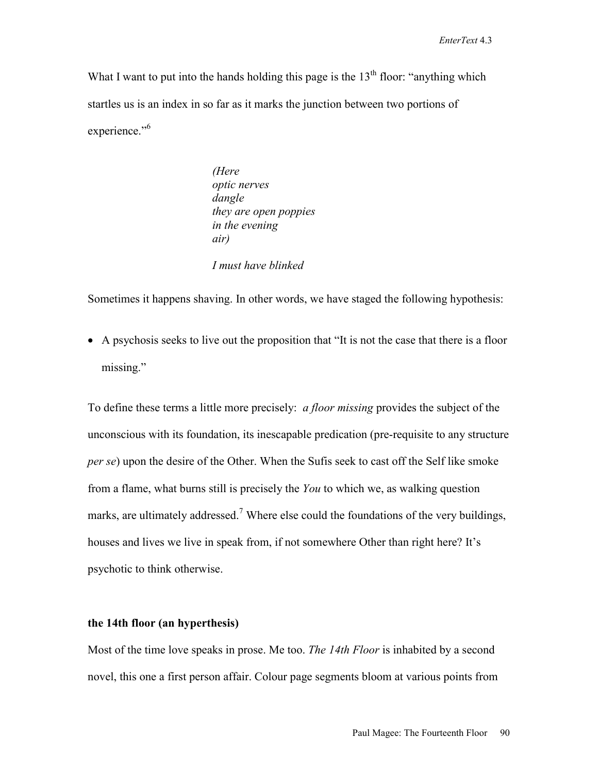What I want to put into the hands holding this page is the  $13<sup>th</sup>$  floor: "anything which startles us is an index in so far as it marks the junction between two portions of experience."<sup>6</sup>

> *(Here optic nerves dangle they are open poppies in the evening air)*

 *I must have blinked* 

Sometimes it happens shaving. In other words, we have staged the following hypothesis:

• A psychosis seeks to live out the proposition that "It is not the case that there is a floor missing."

To define these terms a little more precisely: *a floor missing* provides the subject of the unconscious with its foundation, its inescapable predication (pre-requisite to any structure *per se*) upon the desire of the Other. When the Sufis seek to cast off the Self like smoke from a flame, what burns still is precisely the *You* to which we, as walking question marks, are ultimately addressed.<sup>7</sup> Where else could the foundations of the very buildings, houses and lives we live in speak from, if not somewhere Other than right here? It's psychotic to think otherwise.

#### **the 14th floor (an hyperthesis)**

Most of the time love speaks in prose. Me too. *The 14th Floor* is inhabited by a second novel, this one a first person affair. Colour page segments bloom at various points from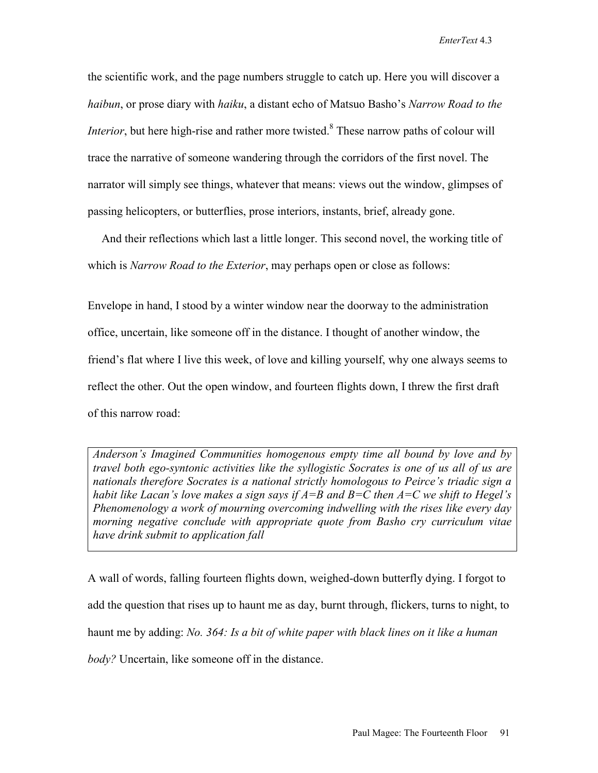the scientific work, and the page numbers struggle to catch up. Here you will discover a *haibun*, or prose diary with *haiku*, a distant echo of Matsuo Basho's *Narrow Road to the Interior*, but here high-rise and rather more twisted.<sup>8</sup> These narrow paths of colour will trace the narrative of someone wandering through the corridors of the first novel. The narrator will simply see things, whatever that means: views out the window, glimpses of passing helicopters, or butterflies, prose interiors, instants, brief, already gone.

 And their reflections which last a little longer. This second novel, the working title of which is *Narrow Road to the Exterior*, may perhaps open or close as follows:

Envelope in hand, I stood by a winter window near the doorway to the administration office, uncertain, like someone off in the distance. I thought of another window, the friend's flat where I live this week, of love and killing yourself, why one always seems to reflect the other. Out the open window, and fourteen flights down, I threw the first draft of this narrow road:

*Anderson's Imagined Communities homogenous empty time all bound by love and by travel both ego-syntonic activities like the syllogistic Socrates is one of us all of us are nationals therefore Socrates is a national strictly homologous to Peirce's triadic sign a habit like Lacan's love makes a sign says if A=B and B=C then A=C we shift to Hegel's Phenomenology a work of mourning overcoming indwelling with the rises like every day morning negative conclude with appropriate quote from Basho cry curriculum vitae have drink submit to application fall*

A wall of words, falling fourteen flights down, weighed-down butterfly dying. I forgot to add the question that rises up to haunt me as day, burnt through, flickers, turns to night, to haunt me by adding: *No. 364: Is a bit of white paper with black lines on it like a human body?* Uncertain, like someone off in the distance.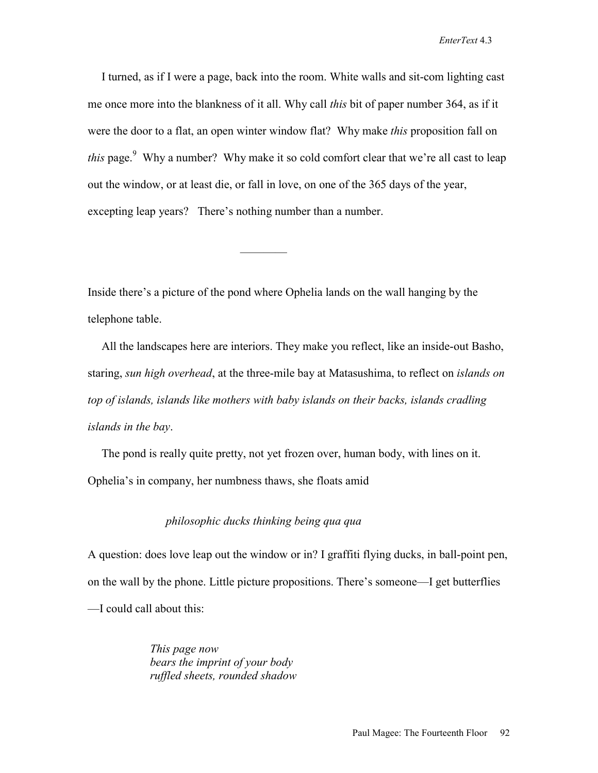I turned, as if I were a page, back into the room. White walls and sit-com lighting cast me once more into the blankness of it all. Why call *this* bit of paper number 364, as if it were the door to a flat, an open winter window flat? Why make *this* proposition fall on *this* page.<sup>9</sup> Why a number? Why make it so cold comfort clear that we're all cast to leap out the window, or at least die, or fall in love, on one of the 365 days of the year, excepting leap years? There's nothing number than a number.

Inside there's a picture of the pond where Ophelia lands on the wall hanging by the telephone table.

————

 All the landscapes here are interiors. They make you reflect, like an inside-out Basho, staring, *sun high overhead*, at the three-mile bay at Matasushima, to reflect on *islands on top of islands, islands like mothers with baby islands on their backs, islands cradling islands in the bay*.

 The pond is really quite pretty, not yet frozen over, human body, with lines on it. Ophelia's in company, her numbness thaws, she floats amid

#### *philosophic ducks thinking being qua qua*

A question: does love leap out the window or in? I graffiti flying ducks, in ball-point pen, on the wall by the phone. Little picture propositions. There's someone—I get butterflies —I could call about this:

> *This page now bears the imprint of your body ruffled sheets, rounded shadow*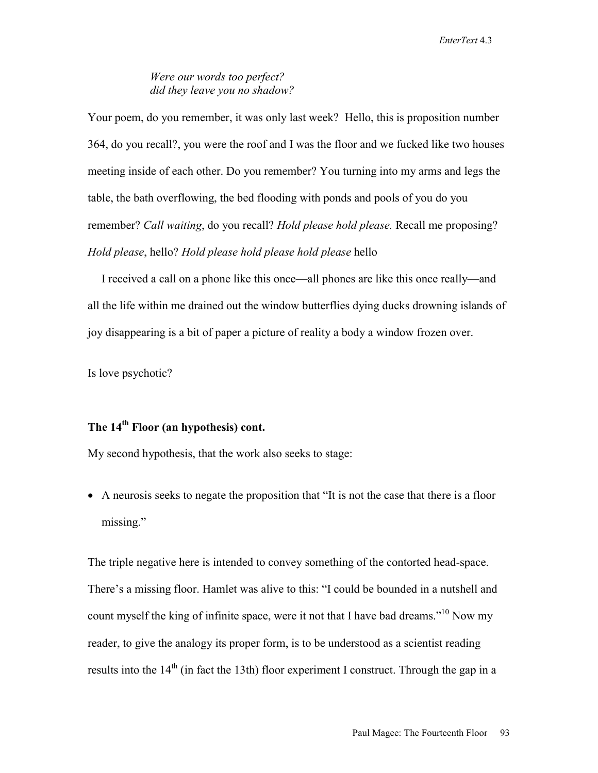### *Were our words too perfect? did they leave you no shadow?*

Your poem, do you remember, it was only last week? Hello, this is proposition number 364, do you recall?, you were the roof and I was the floor and we fucked like two houses meeting inside of each other. Do you remember? You turning into my arms and legs the table, the bath overflowing, the bed flooding with ponds and pools of you do you remember? *Call waiting*, do you recall? *Hold please hold please.* Recall me proposing? *Hold please*, hello? *Hold please hold please hold please* hello

 I received a call on a phone like this once—all phones are like this once really—and all the life within me drained out the window butterflies dying ducks drowning islands of joy disappearing is a bit of paper a picture of reality a body a window frozen over.

Is love psychotic?

### **The 14th Floor (an hypothesis) cont.**

My second hypothesis, that the work also seeks to stage:

• A neurosis seeks to negate the proposition that "It is not the case that there is a floor missing."

The triple negative here is intended to convey something of the contorted head-space. There's a missing floor. Hamlet was alive to this: "I could be bounded in a nutshell and count myself the king of infinite space, were it not that I have bad dreams."<sup>10</sup> Now my reader, to give the analogy its proper form, is to be understood as a scientist reading results into the  $14<sup>th</sup>$  (in fact the 13th) floor experiment I construct. Through the gap in a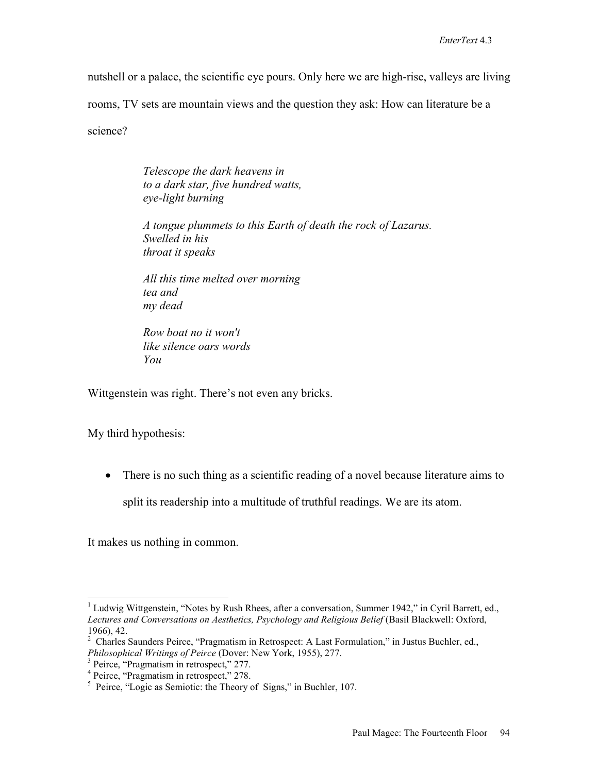nutshell or a palace, the scientific eye pours. Only here we are high-rise, valleys are living

rooms, TV sets are mountain views and the question they ask: How can literature be a

science?

*Telescope the dark heavens in to a dark star, five hundred watts, eye-light burning* 

*A tongue plummets to this Earth of death the rock of Lazarus. Swelled in his throat it speaks* 

*All this time melted over morning tea and my dead* 

*Row boat no it won't like silence oars words You* 

Wittgenstein was right. There's not even any bricks.

My third hypothesis:

• There is no such thing as a scientific reading of a novel because literature aims to

split its readership into a multitude of truthful readings. We are its atom.

It makes us nothing in common.

 $\overline{a}$ <sup>1</sup> Ludwig Wittgenstein, "Notes by Rush Rhees, after a conversation, Summer 1942," in Cyril Barrett, ed., *Lectures and Conversations on Aesthetics, Psychology and Religious Belief* (Basil Blackwell: Oxford, 1966), 42.

<sup>&</sup>lt;sup>2</sup> Charles Saunders Peirce, "Pragmatism in Retrospect: A Last Formulation," in Justus Buchler, ed., *Philosophical Writings of Peirce* (Dover: New York, 1955), 277. 3

<sup>&</sup>lt;sup>3</sup> Peirce, "Pragmatism in retrospect," 277.<br><sup>4</sup> Peirce, "Pragmatism in retrospect," 278.

<sup>&</sup>lt;sup>5</sup> Peirce, "Logic as Semiotic: the Theory of Signs," in Buchler, 107.